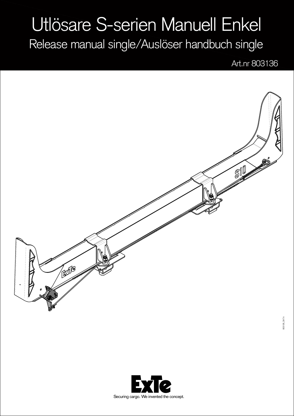## Utlösare S-serien Manuell Enkel

Release manual single/Auslöser handbuch single

Art.nr 803136